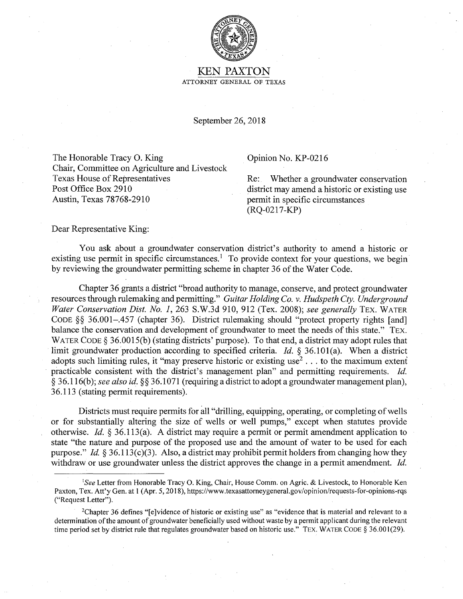

KEN PAXTON ATTORNEY GENERAL OF TEXAS

September 26, 2018

The Honorable Tracy O. King Opinion No. KP-0216 Chair, Committee on Agriculture and Livestock Texas House of Representatives Re: Whether a groundwater conservation Post Office Box 2910 Austin, Texas 78768-2910

district may amend a historic or existing use permit in specific circumstances (RQ-0217-KP)

Dear Representative King:

You ask about a groundwater conservation district's authority to amend a historic or existing use permit in specific circumstances.<sup>1</sup> To provide context for your questions, we begin by reviewing the groundwater permitting scheme in chapter 36 of the Water Code.

Chapter 36 grants a district "broad authority to manage, conserve, and protect groundwater resources through rulemaking and permitting." *Guitar Holding Co. v. Hudspeth Cty. Underground Water Conservation Dist. No. 1,* 263 S.W.3d 910, 912 (Tex. 2008); *see generally* TEX. WATER CODE §§ 36.001-.457 (chapter 36). District rulemaking should "protect property rights [and] balance the conservation and development of groundwater to meet the needs of this state." TEX. WATER CODE § 36.0015(b) (stating districts' purpose). To that end, a district may adopt rules that limit groundwater production according to specified criteria. *Id.* § 36.101(a). When a district adopts such limiting rules, it "may preserve historic or existing use<sup>2</sup>... to the maximum extent practicable consistent with the district's management plan" and permitting requirements. *Id.*  § 36. l 16(b ); *see also id.* §§ 36.1071 (requiring a district to adopt a groundwater management plan), 36.113 (stating permit requirements).

Districts must require permits for all "drilling, equipping, operating, or completing of wells or for substantially altering the size of wells or well pumps," except when statutes provide otherwise. *Id.* § 36.113(a). A district may require a permit or permit amendment application to state "the nature and purpose of the proposed use and the amount of water to be used for each purpose." *Id.*  $\S 36.113(c)(3)$ . Also, a district may prohibit permit holders from changing how they withdraw or use groundwater unless the district approves the change in a permit amendment. *Id.* 

<sup>2</sup>Chapter 36 defines "[e]vidence of historic or existing use" as "evidence that is material and relevant to a determination of the amount of groundwater beneficially used without waste by a permit applicant during the relevant time period set by district rule that regulates groundwater based on historic use." TEX. WATER CODE § 36.001(29).

<sup>&</sup>lt;sup>1</sup>See Letter from Honorable Tracy O. King, Chair, House Comm. on Agric. & Livestock, to Honorable Ken Paxton, Tex. Att'y Gen. at 1 (Apr. 5, 2018), https://www.texasattomeygeneral.gov/opinion/requests-for-opinions-rqs ("Request Letter").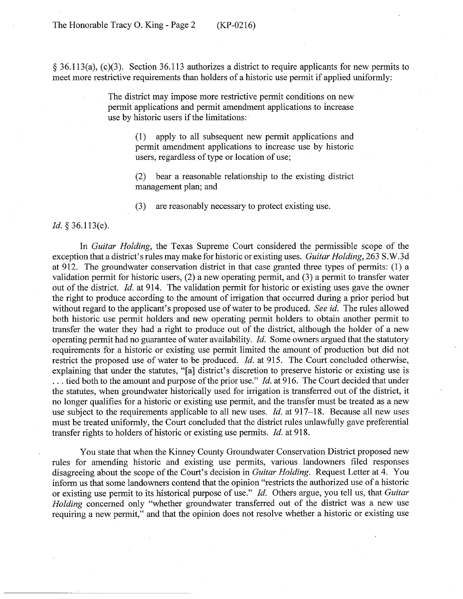§ 36.113(a), (c)(3). Section 36.113 authorizes a district to require applicants for new permits to meet more restrictive requirements than holders of a historic use permit if applied uniformly:

> The district may impose more restrictive permit conditions on new permit applications and permit amendment applications to increase use by historic users if the limitations:

> > (1) apply to all subsequent new permit applications and permit amendment applications to increase use by historic users, regardless of type or location of use;

> > (2) bear a reasonable relationship to the existing district management plan; and

(3) are reasonably necessary to protect existing use.

*Id.* § 36.l 13(e).

In *Guitar Holding,* the Texas Supreme Court considered the permissible scope of the exception that a district's rules may make for historic or existing uses. *Guitar Holding,* 263 S.W.3d at 912. The groundwater conservation district in that case granted three types of permits: (1) a validation permit for historic users, (2) a new operating permit, and (3) a permit to transfer water out of the district. *Id.* at 914. The validation permit for historic or existing uses gave the owner the right to produce according to the amount of irrigation that occurred during a prior period but without regard to the applicant's proposed use of water to be produced. *See id.* The rules allowed both historic use permit holders and new operating permit holders to obtain another permit to transfer the water they had a right to produce out of the district, although the holder of a new operating permit had no guarantee of water availability. *Id.* Some owners argued that the statutory requirements for a historic or existing use permit limited the amount of production but did not restrict the proposed use of water to be produced. *Id.* at 915. The Court concluded otherwise, explaining that under the statutes, "[a] district's discretion to preserve historic or existing use is ... tied both to the amount and purpose of the prior use." *Id.* at 916. The Court decided that under the statutes, when groundwater historically used for irrigation is transferred out of the district, it no longer qualifies for a historic or existing use permit, and the transfer must be treated as a new use subject to the requirements applicable to all new uses. *Id.* at 917-18. Because all new uses must be treated uniformly, the Court concluded that the district rules unlawfully gave preferential transfer rights to holders of historic or existing use permits. *Id.* at 918.

You state that when the Kinney County Groundwater Conservation District proposed new rules for amending historic and existing use permits, various landowners filed responses disagreeing about the scope of the Court's decision in *Guitar Holding.* Request Letter at 4. You inform us that some landowners contend that the opinion "restricts the authorized use of a historic or existing use permit to its historical purpose of use." *Id.* Others argue, you tell us, that *Guitar Holding* concerned only "whether groundwater transferred out of the district was a new use requiring a new permit," and that the opinion does not resolve whether a historic or existing use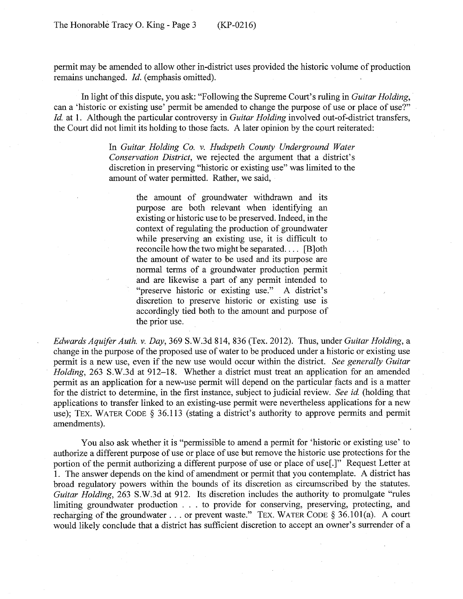permit may be amended to allow other in-district uses provided the historic volume of production remains unchanged. *Id.* (emphasis omitted).

In light of this dispute, you ask: "Following the Supreme Court's ruling in *Guitar Holding,*  can a 'historic or existing use' permit be amended to change the purpose of use or place of use?" *Id.* at 1. Although the particular controversy in *Guitar Holding* involved out-of-district transfers, the Court did not limit its holding to those facts. A later opinion by the court reiterated:

> In *Guitar Holding Co. v. Hudspeth County Underground Water Conservation District,* we rejected the argument that a district's discretion in preserving "historic or existing use" was limited to the amount of water permitted. Rather, we said,

> > the amount of groundwater withdrawn and its purpose are both relevant when identifying an existing or historic use to be preserved. Indeed, in the context of regulating the production of groundwater while preserving an existing use, it is difficult to reconcile how the two might be separated. . . . [B]oth the amount of water to be used and its purpose are normal terms of a groundwater production permit and are likewise a part of any permit intended to "preserve historic or existing use." A district's discretion to preserve historic or existing use is accordingly tied both to the amount and purpose of the prior use.

*Edwards Aquifer Auth. v. Day,* 369 S.W.3d 814,836 (Tex. 2012). Thus, under *Guitar Holding,* a change in the purpose of the proposed use of water to be produced under a historic or existing use permit is a new use, even if the new use would occur within the district. *See generally Guitar Holding,* 263 S.W.3d at 912-18. Whether a district must treat an application for an amended permit as an application for a new-use permit will depend on the particular facts and is a matter for the district to determine, in the first instance, subject to judicial review. *See id* (holding that applications to transfer linked to an existing-use permit were nevertheless applications for a new use); TEX. WATER CODE § 36.113 (stating a district's authority to approve permits and permit amendments).

You also ask whether it is "permissible to amend a permit for 'historic or existing use' to authorize a different purpose of use or place of use but remove the historic use protections for the portion of the permit authorizing a different purpose of use or place of use<sup>[1]</sup><sup>"</sup> Request Letter at 1. The answer depends on the kind of amendment or permit that you contemplate. A district has broad regulatory powers within the bounds of its discretion as circumscribed by the statutes. *Guitar Holding,* 263 S.W.3d at 912. Its discretion includes the authority to promulgate "rules limiting groundwater production . . . to provide for conserving, preserving, protecting, and recharging of the groundwater . . . or prevent waste." TEX. WATER CODE § 36.101(a). A court would likely conclude that a district has sufficient discretion to accept an owner's surrender of a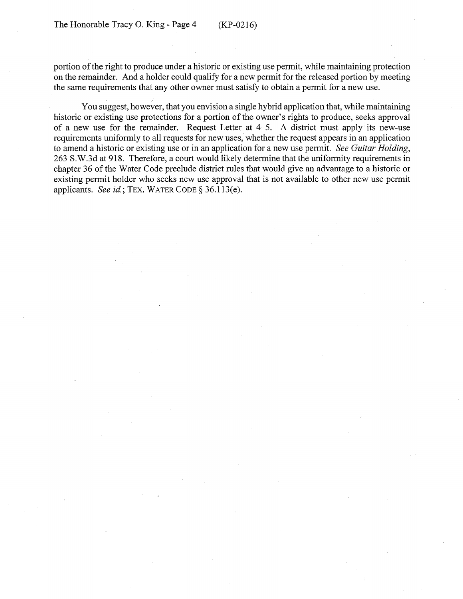portion of the right to produce under a historic or existing use permit, while maintaining protection on the remainder. And a holder could qualify for a new permit for the released portion by meeting the same requirements that any other owner must satisfy to obtain a permit for a new use.

You suggest, however, that you envision a single hybrid application that, while maintaining historic or existing use protections for a portion of the owner's rights to produce, seeks approval of a new use for the remainder. Request Letter at 4-5. A district must apply its new-use requirements uniformly to all requests for new uses, whether the request appears in an application to amend a historic or existing use or in an application for a new use permit. *See Guitar Holding,*  263 S.W.3d at 918. Therefore, a court would likely determine that the uniformity requirements in chapter 36 of the Water Code preclude district rules that would give an advantage to a historic or existing permit holder who seeks new use approval that is not available to other new use permit applicants. *See* id.; TEX. WATER CODE§ 36.113(e).